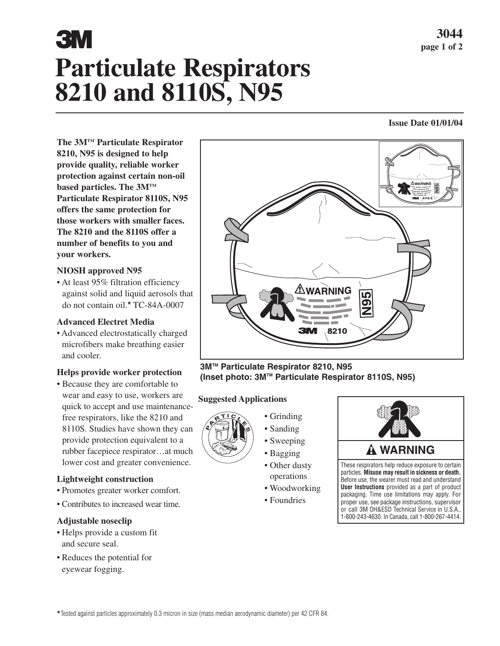# **Particulate Respirators 8210 and 8110S, N95 3044** page 1 of 2

#### **Issue Date 01/01/04**

**The 3MTM Particulate Respirator 8210, N95 is designed to help provide quality, reliable worker protection against certain non-oil based particles. The 3MTM Particulate Respirator 8110S, N95 offers the same protection for those workers with smaller faces. The 8210 and the 8110S offer a number of benefits to you and your workers.**

# **NIOSH approved N95**

• At least 95% filtration efficiency against solid and liquid aerosols that do not contain oil.**\*** TC-84A-0007

# **Advanced Electret Media**

• Advanced electrostatically charged microfibers make breathing easier and cooler.

# **Helps provide worker protection**

• Because they are comfortable to wear and easy to use, workers are quick to accept and use maintenancefree respirators, like the 8210 and 8110S. Studies have shown they can provide protection equivalent to a rubber facepiece respirator…at much lower cost and greater convenience.

# **Lightweight construction**

- Promotes greater worker comfort.
- Contributes to increased wear time.

# **Adjustable noseclip**

- Helps provide a custom fit and secure seal.
- Reduces the potential for eyewear fogging.



## **3MTM Particulate Respirator 8210, N95 (Inset photo: 3MTM Particulate Respirator 8110S, N95)**

# **Suggested Applications**



• Grinding • Sanding

- Sweeping
- Bagging
- Other dusty
- operations • Woodworking
- Foundries



or call 3M OH&ESD Technical Service in U.S.A. 1-800-243-4630. In Canada, call 1-800-267-4414.

**\***Tested against particles approximately 0.3 micron in size (mass median aerodynamic diameter) per 42 CFR 84.